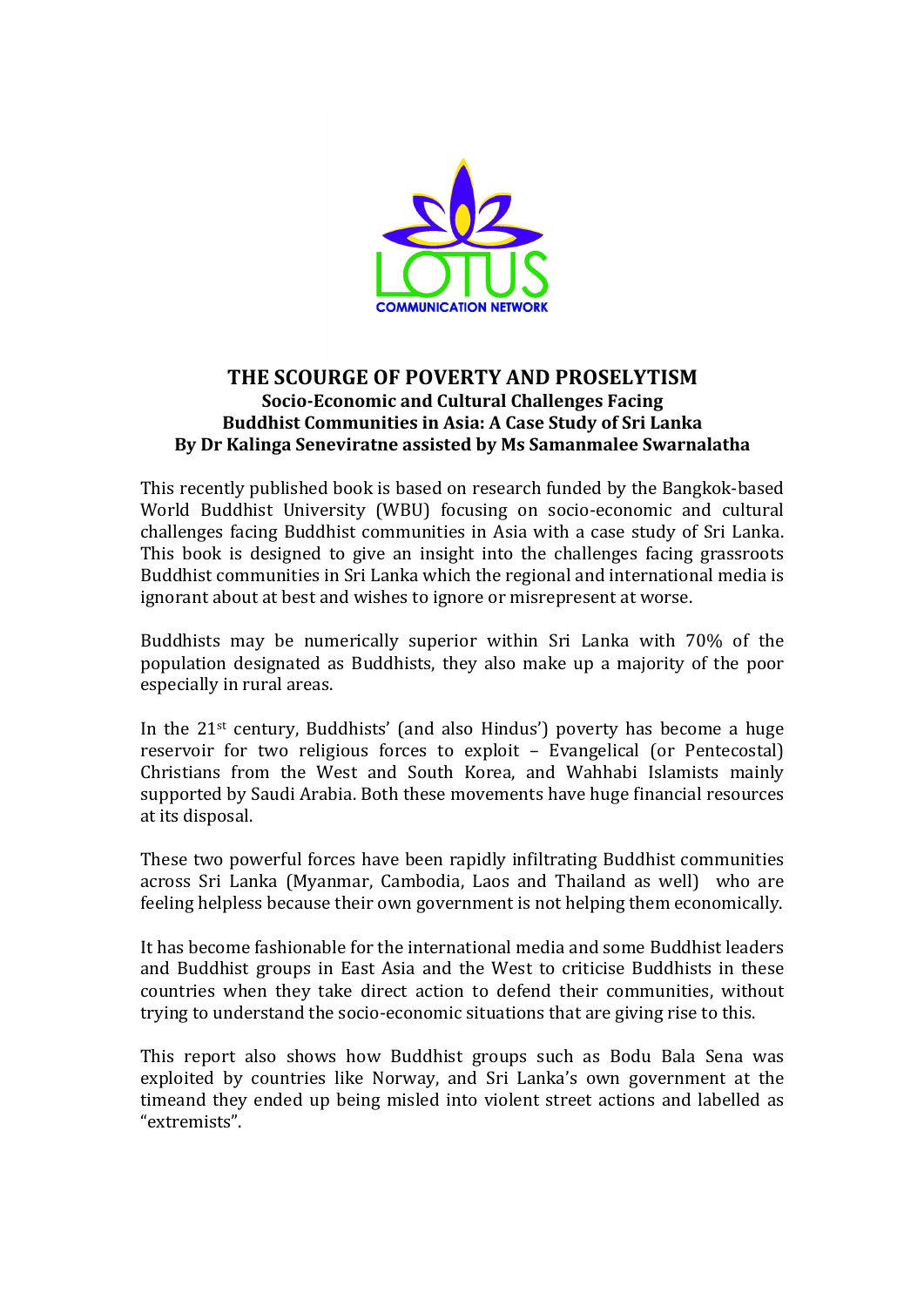

## **THE SCOURGE OF POVERTY AND PROSELYTISM Socio-Economic and Cultural Challenges Facing Buddhist Communities in Asia: A Case Study of Sri Lanka** By Dr Kalinga Seneviratne assisted by Ms Samanmalee Swarnalatha

This recently published book is based on research funded by the Bangkok-based World Buddhist University (WBU) focusing on socio-economic and cultural challenges facing Buddhist communities in Asia with a case study of Sri Lanka. This book is designed to give an insight into the challenges facing grassroots Buddhist communities in Sri Lanka which the regional and international media is ignorant about at best and wishes to ignore or misrepresent at worse.

Buddhists may be numerically superior within Sri Lanka with 70% of the population designated as Buddhists, they also make up a majority of the poor especially in rural areas.

In the  $21$ <sup>st</sup> century, Buddhists' (and also Hindus') poverty has become a huge reservoir for two religious forces to exploit - Evangelical (or Pentecostal) Christians from the West and South Korea, and Wahhabi Islamists mainly supported by Saudi Arabia. Both these movements have huge financial resources at its disposal.

These two powerful forces have been rapidly infiltrating Buddhist communities across Sri Lanka (Myanmar, Cambodia, Laos and Thailand as well) who are feeling helpless because their own government is not helping them economically.

It has become fashionable for the international media and some Buddhist leaders and Buddhist groups in East Asia and the West to criticise Buddhists in these countries when they take direct action to defend their communities, without trying to understand the socio-economic situations that are giving rise to this.

This report also shows how Buddhist groups such as Bodu Bala Sena was exploited by countries like Norway, and Sri Lanka's own government at the timeand they ended up being misled into violent street actions and labelled as "extremists".